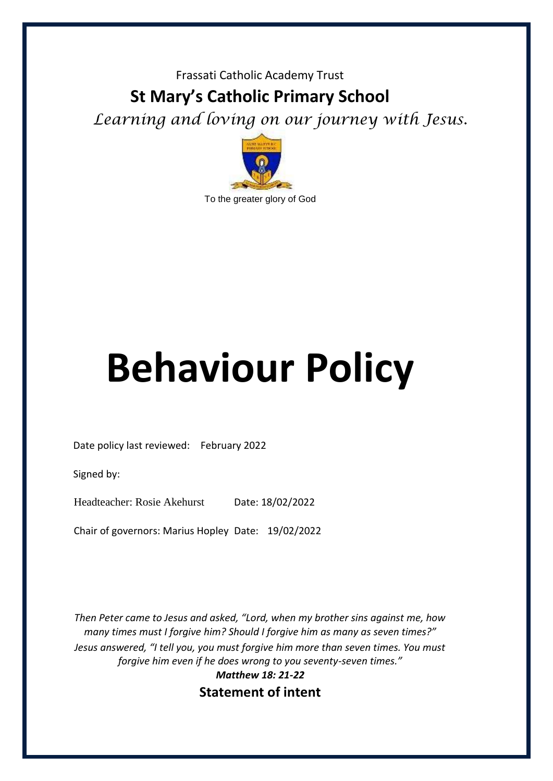### Frassati Catholic Academy Trust

# **St Mary's Catholic Primary School**

*Learning and loving on our journey with Jesus.* 



# **Behaviour Policy**

Date policy last reviewed: February 2022

Signed by:

Headteacher: Rosie Akehurst Date: 18/02/2022

Chair of governors: Marius Hopley Date: 19/02/2022

*Then Peter came to Jesus and asked, "Lord, when my brother sins against me, how many times must I forgive him? Should I forgive him as many as seven times?" Jesus answered, "I tell you, you must forgive him more than seven times. You must forgive him even if he does wrong to you seventy-seven times."*

*Matthew 18: 21-22* **Statement of intent**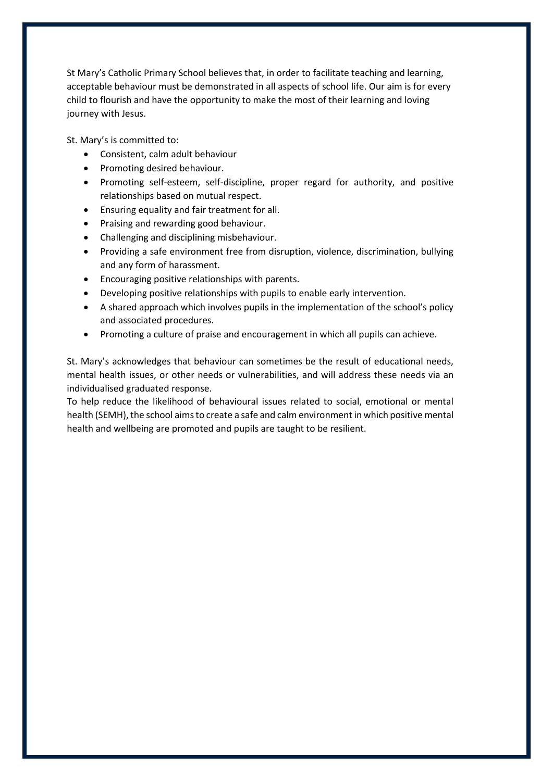St Mary's Catholic Primary School believes that, in order to facilitate teaching and learning, acceptable behaviour must be demonstrated in all aspects of school life. Our aim is for every child to flourish and have the opportunity to make the most of their learning and loving journey with Jesus.

St. Mary's is committed to:

- Consistent, calm adult behaviour
- Promoting desired behaviour.
- Promoting self-esteem, self-discipline, proper regard for authority, and positive relationships based on mutual respect.
- Ensuring equality and fair treatment for all.
- Praising and rewarding good behaviour.
- Challenging and disciplining misbehaviour.
- Providing a safe environment free from disruption, violence, discrimination, bullying and any form of harassment.
- Encouraging positive relationships with parents.
- Developing positive relationships with pupils to enable early intervention.
- A shared approach which involves pupils in the implementation of the school's policy and associated procedures.
- Promoting a culture of praise and encouragement in which all pupils can achieve.

St. Mary's acknowledges that behaviour can sometimes be the result of educational needs, mental health issues, or other needs or vulnerabilities, and will address these needs via an individualised graduated response.

To help reduce the likelihood of behavioural issues related to social, emotional or mental health (SEMH), the school aims to create a safe and calm environment in which positive mental health and wellbeing are promoted and pupils are taught to be resilient.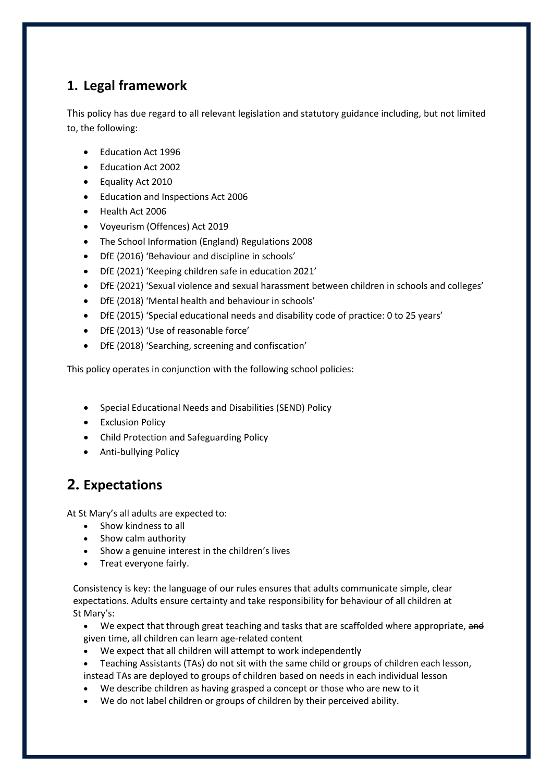# **1. Legal framework**

This policy has due regard to all relevant legislation and statutory guidance including, but not limited to, the following:

- Education Act 1996
- Education Act 2002
- Equality Act 2010
- Education and Inspections Act 2006
- Health Act 2006
- Voyeurism (Offences) Act 2019
- The School Information (England) Regulations 2008
- DfE (2016) 'Behaviour and discipline in schools'
- DfE (2021) 'Keeping children safe in education 2021'
- DfE (2021) 'Sexual violence and sexual harassment between children in schools and colleges'
- DfE (2018) 'Mental health and behaviour in schools'
- DfE (2015) 'Special educational needs and disability code of practice: 0 to 25 years'
- DfE (2013) 'Use of reasonable force'
- DfE (2018) 'Searching, screening and confiscation'

This policy operates in conjunction with the following school policies:

- Special Educational Needs and Disabilities (SEND) Policy
- **•** Exclusion Policy
- Child Protection and Safeguarding Policy
- Anti-bullying Policy

# **2. Expectations**

At St Mary's all adults are expected to:

- Show kindness to all
- Show calm authority
- Show a genuine interest in the children's lives
- Treat everyone fairly.

Consistency is key: the language of our rules ensures that adults communicate simple, clear expectations. Adults ensure certainty and take responsibility for behaviour of all children at St Mary's:

- We expect that through great teaching and tasks that are scaffolded where appropriate, and given time, all children can learn age-related content
- We expect that all children will attempt to work independently
- Teaching Assistants (TAs) do not sit with the same child or groups of children each lesson, instead TAs are deployed to groups of children based on needs in each individual lesson
- We describe children as having grasped a concept or those who are new to it
- We do not label children or groups of children by their perceived ability.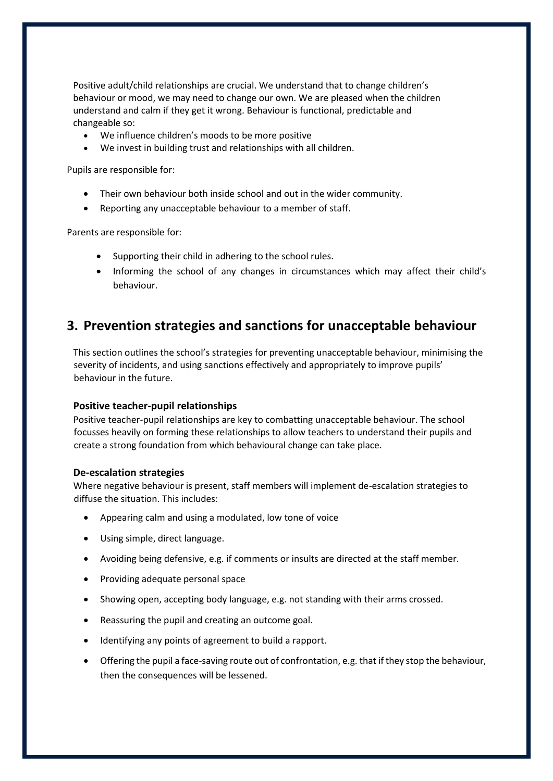Positive adult/child relationships are crucial. We understand that to change children's behaviour or mood, we may need to change our own. We are pleased when the children understand and calm if they get it wrong. Behaviour is functional, predictable and changeable so:

- We influence children's moods to be more positive
- We invest in building trust and relationships with all children.

Pupils are responsible for:

- Their own behaviour both inside school and out in the wider community.
- Reporting any unacceptable behaviour to a member of staff.

Parents are responsible for:

- Supporting their child in adhering to the school rules.
- Informing the school of any changes in circumstances which may affect their child's behaviour.

## **3. Prevention strategies and sanctions for unacceptable behaviour**

This section outlines the school's strategies for preventing unacceptable behaviour, minimising the severity of incidents, and using sanctions effectively and appropriately to improve pupils' behaviour in the future.

#### **Positive teacher-pupil relationships**

Positive teacher-pupil relationships are key to combatting unacceptable behaviour. The school focusses heavily on forming these relationships to allow teachers to understand their pupils and create a strong foundation from which behavioural change can take place.

#### **De-escalation strategies**

Where negative behaviour is present, staff members will implement de-escalation strategies to diffuse the situation. This includes:

- Appearing calm and using a modulated, low tone of voice
- Using simple, direct language.
- Avoiding being defensive, e.g. if comments or insults are directed at the staff member.
- Providing adequate personal space
- Showing open, accepting body language, e.g. not standing with their arms crossed.
- Reassuring the pupil and creating an outcome goal.
- Identifying any points of agreement to build a rapport.
- Offering the pupil a face-saving route out of confrontation, e.g. that if they stop the behaviour, then the consequences will be lessened.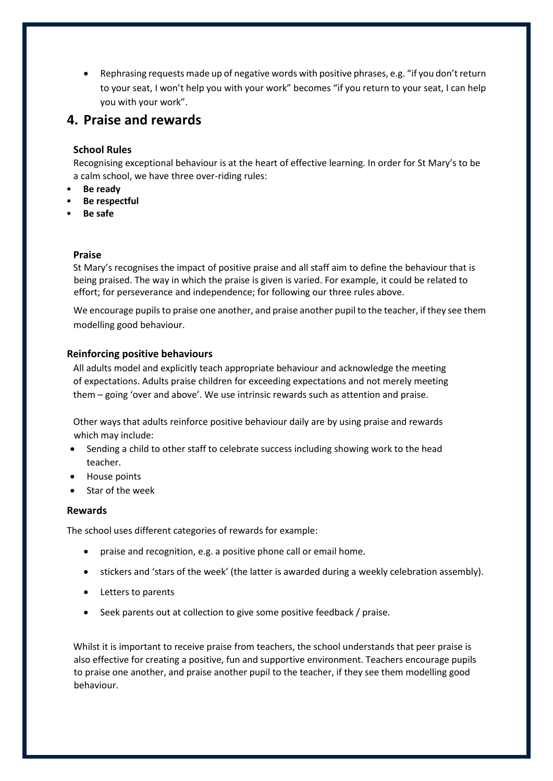Rephrasing requests made up of negative words with positive phrases, e.g. "if you don't return to your seat, I won't help you with your work" becomes "if you return to your seat, I can help you with your work".

## **4. Praise and rewards**

#### **School Rules**

Recognising exceptional behaviour is at the heart of effective learning. In order for St Mary's to be a calm school, we have three over-riding rules:

- **Be ready**
- **Be respectful**
- **Be safe**

#### **Praise**

St Mary's recognises the impact of positive praise and all staff aim to define the behaviour that is being praised. The way in which the praise is given is varied. For example, it could be related to effort; for perseverance and independence; for following our three rules above.

We encourage pupils to praise one another, and praise another pupil to the teacher, if they see them modelling good behaviour.

#### **Reinforcing positive behaviours**

All adults model and explicitly teach appropriate behaviour and acknowledge the meeting of expectations. Adults praise children for exceeding expectations and not merely meeting them – going 'over and above'. We use intrinsic rewards such as attention and praise.

Other ways that adults reinforce positive behaviour daily are by using praise and rewards which may include:

- Sending a child to other staff to celebrate success including showing work to the head teacher.
- House points
- Star of the week

#### **Rewards**

The school uses different categories of rewards for example:

- praise and recognition, e.g. a positive phone call or email home.
- stickers and 'stars of the week' (the latter is awarded during a weekly celebration assembly).
- Letters to parents
- Seek parents out at collection to give some positive feedback / praise.

Whilst it is important to receive praise from teachers, the school understands that peer praise is also effective for creating a positive, fun and supportive environment. Teachers encourage pupils to praise one another, and praise another pupil to the teacher, if they see them modelling good behaviour.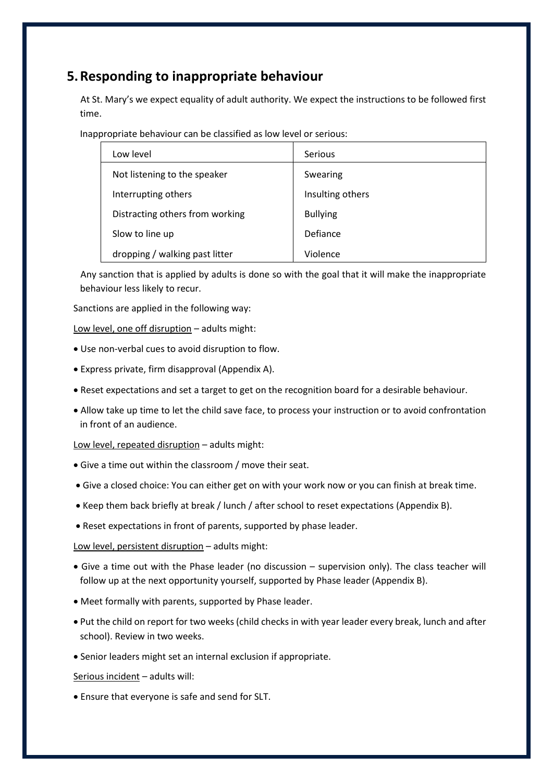# **5.Responding to inappropriate behaviour**

 At St. Mary's we expect equality of adult authority. We expect the instructions to be followed first time.

Inappropriate behaviour can be classified as low level or serious:

| Low level                       | Serious          |
|---------------------------------|------------------|
| Not listening to the speaker    | Swearing         |
| Interrupting others             | Insulting others |
| Distracting others from working | <b>Bullying</b>  |
| Slow to line up                 | Defiance         |
| dropping / walking past litter  | Violence         |

 Any sanction that is applied by adults is done so with the goal that it will make the inappropriate behaviour less likely to recur.

Sanctions are applied in the following way:

Low level, one off disruption – adults might:

- Use non-verbal cues to avoid disruption to flow.
- Express private, firm disapproval (Appendix A).
- Reset expectations and set a target to get on the recognition board for a desirable behaviour.
- Allow take up time to let the child save face, to process your instruction or to avoid confrontation in front of an audience.

Low level, repeated disruption – adults might:

- Give a time out within the classroom / move their seat.
- Give a closed choice: You can either get on with your work now or you can finish at break time.
- Keep them back briefly at break / lunch / after school to reset expectations (Appendix B).
- Reset expectations in front of parents, supported by phase leader.

Low level, persistent disruption – adults might:

- Give a time out with the Phase leader (no discussion supervision only). The class teacher will follow up at the next opportunity yourself, supported by Phase leader (Appendix B).
- Meet formally with parents, supported by Phase leader.
- Put the child on report for two weeks (child checks in with year leader every break, lunch and after school). Review in two weeks.
- Senior leaders might set an internal exclusion if appropriate.

Serious incident – adults will:

Ensure that everyone is safe and send for SLT.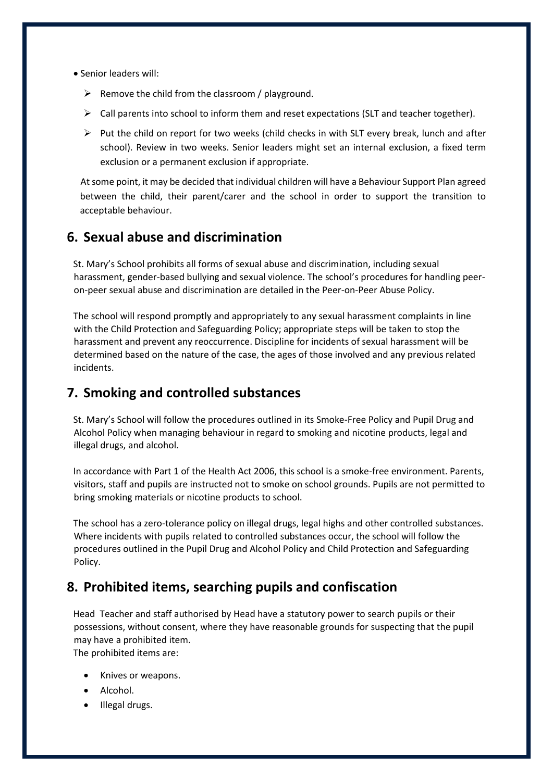- Senior leaders will:
	- $\triangleright$  Remove the child from the classroom / playground.
	- $\triangleright$  Call parents into school to inform them and reset expectations (SLT and teacher together).
	- $\triangleright$  Put the child on report for two weeks (child checks in with SLT every break, lunch and after school). Review in two weeks. Senior leaders might set an internal exclusion, a fixed term exclusion or a permanent exclusion if appropriate.

 At some point, it may be decided that individual children will have a Behaviour Support Plan agreed between the child, their parent/carer and the school in order to support the transition to acceptable behaviour.

## **6. Sexual abuse and discrimination**

St. Mary's School prohibits all forms of sexual abuse and discrimination, including sexual harassment, gender-based bullying and sexual violence. The school's procedures for handling peeron-peer sexual abuse and discrimination are detailed in the Peer-on-Peer Abuse Policy.

The school will respond promptly and appropriately to any sexual harassment complaints in line with the Child Protection and Safeguarding Policy; appropriate steps will be taken to stop the harassment and prevent any reoccurrence. Discipline for incidents of sexual harassment will be determined based on the nature of the case, the ages of those involved and any previous related incidents.

## **7. Smoking and controlled substances**

St. Mary's School will follow the procedures outlined in its Smoke-Free Policy and Pupil Drug and Alcohol Policy when managing behaviour in regard to smoking and nicotine products, legal and illegal drugs, and alcohol.

In accordance with Part 1 of the Health Act 2006, this school is a smoke-free environment. Parents, visitors, staff and pupils are instructed not to smoke on school grounds. Pupils are not permitted to bring smoking materials or nicotine products to school.

The school has a zero-tolerance policy on illegal drugs, legal highs and other controlled substances. Where incidents with pupils related to controlled substances occur, the school will follow the procedures outlined in the Pupil Drug and Alcohol Policy and Child Protection and Safeguarding Policy.

## **8. Prohibited items, searching pupils and confiscation**

Head Teacher and staff authorised by Head have a statutory power to search pupils or their possessions, without consent, where they have reasonable grounds for suspecting that the pupil may have a prohibited item.

The prohibited items are:

- Knives or weapons.
- Alcohol.
- Illegal drugs.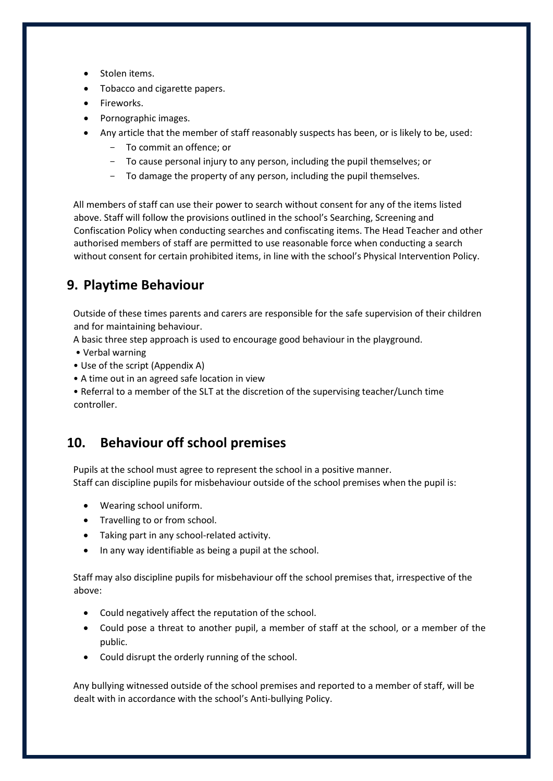- Stolen items.
- Tobacco and cigarette papers.
- Fireworks.
- Pornographic images.
- Any article that the member of staff reasonably suspects has been, or is likely to be, used:
	- To commit an offence; or
	- To cause personal injury to any person, including the pupil themselves; or
	- To damage the property of any person, including the pupil themselves.

All members of staff can use their power to search without consent for any of the items listed above. Staff will follow the provisions outlined in the school's Searching, Screening and Confiscation Policy when conducting searches and confiscating items. The Head Teacher and other authorised members of staff are permitted to use reasonable force when conducting a search without consent for certain prohibited items, in line with the school's Physical Intervention Policy.

# **9. Playtime Behaviour**

Outside of these times parents and carers are responsible for the safe supervision of their children and for maintaining behaviour.

A basic three step approach is used to encourage good behaviour in the playground.

- Verbal warning
- Use of the script (Appendix A)
- A time out in an agreed safe location in view

• Referral to a member of the SLT at the discretion of the supervising teacher/Lunch time controller.

## **10. Behaviour off school premises**

Pupils at the school must agree to represent the school in a positive manner. Staff can discipline pupils for misbehaviour outside of the school premises when the pupil is:

- Wearing school uniform.
- Travelling to or from school.
- Taking part in any school-related activity.
- In any way identifiable as being a pupil at the school.

Staff may also discipline pupils for misbehaviour off the school premises that, irrespective of the above:

- Could negatively affect the reputation of the school.
- Could pose a threat to another pupil, a member of staff at the school, or a member of the public.
- Could disrupt the orderly running of the school.

Any bullying witnessed outside of the school premises and reported to a member of staff, will be dealt with in accordance with the school's Anti-bullying Policy.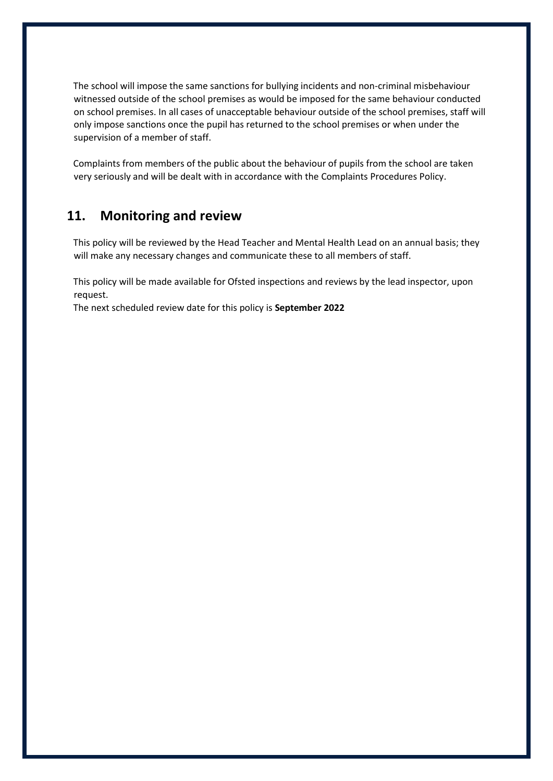The school will impose the same sanctions for bullying incidents and non-criminal misbehaviour witnessed outside of the school premises as would be imposed for the same behaviour conducted on school premises. In all cases of unacceptable behaviour outside of the school premises, staff will only impose sanctions once the pupil has returned to the school premises or when under the supervision of a member of staff.

Complaints from members of the public about the behaviour of pupils from the school are taken very seriously and will be dealt with in accordance with the Complaints Procedures Policy.

## **11. Monitoring and review**

This policy will be reviewed by the Head Teacher and Mental Health Lead on an annual basis; they will make any necessary changes and communicate these to all members of staff.

This policy will be made available for Ofsted inspections and reviews by the lead inspector, upon request.

The next scheduled review date for this policy is **September 2022**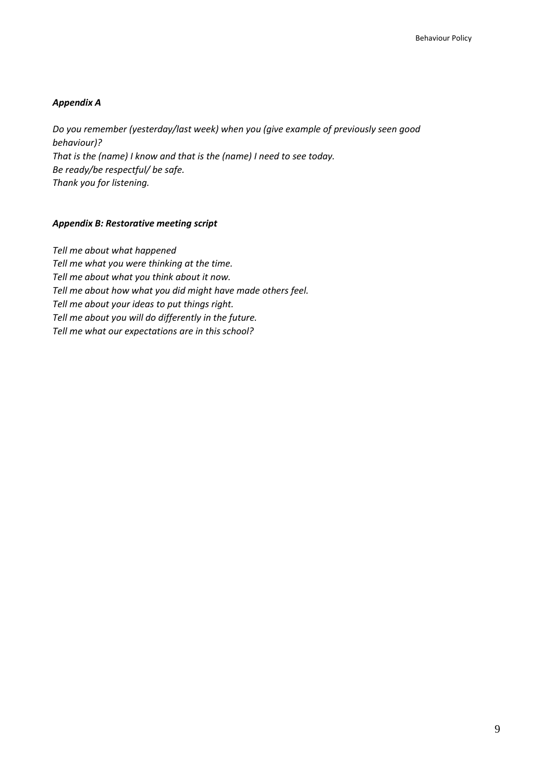#### *Appendix A*

*Do you remember (yesterday/last week) when you (give example of previously seen good behaviour)? That is the (name) I know and that is the (name) I need to see today. Be ready/be respectful/ be safe. Thank you for listening.*

#### *Appendix B: Restorative meeting script*

*Tell me about what happened Tell me what you were thinking at the time. Tell me about what you think about it now. Tell me about how what you did might have made others feel. Tell me about your ideas to put things right. Tell me about you will do differently in the future. Tell me what our expectations are in this school?*